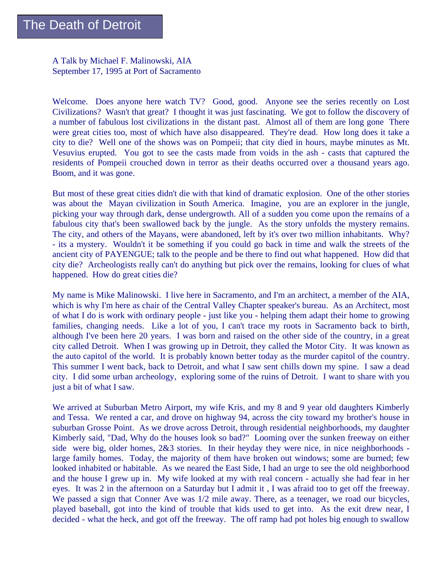A Talk by Michael F. Malinowski, AIA September 17, 1995 at Port of Sacramento

Welcome. Does anyone here watch TV? Good, good. Anyone see the series recently on Lost Civilizations? Wasn't that great? I thought it was just fascinating. We got to follow the discovery of a number of fabulous lost civilizations in the distant past. Almost all of them are long gone There were great cities too, most of which have also disappeared. They're dead. How long does it take a city to die? Well one of the shows was on Pompeii; that city died in hours, maybe minutes as Mt. Vesuvius erupted. You got to see the casts made from voids in the ash - casts that captured the residents of Pompeii crouched down in terror as their deaths occurred over a thousand years ago. Boom, and it was gone.

But most of these great cities didn't die with that kind of dramatic explosion. One of the other stories was about the Mayan civilization in South America. Imagine, you are an explorer in the jungle, picking your way through dark, dense undergrowth. All of a sudden you come upon the remains of a fabulous city that's been swallowed back by the jungle. As the story unfolds the mystery remains. The city, and others of the Mayans, were abandoned, left by it's over two million inhabitants. Why? - its a mystery. Wouldn't it be something if you could go back in time and walk the streets of the ancient city of PAYENGUE; talk to the people and be there to find out what happened. How did that city die? Archeologists really can't do anything but pick over the remains, looking for clues of what happened. How do great cities die?

My name is Mike Malinowski. I live here in Sacramento, and I'm an architect, a member of the AIA, which is why I'm here as chair of the Central Valley Chapter speaker's bureau. As an Architect, most of what I do is work with ordinary people - just like you - helping them adapt their home to growing families, changing needs. Like a lot of you, I can't trace my roots in Sacramento back to birth, although I've been here 20 years. I was born and raised on the other side of the country, in a great city called Detroit. When I was growing up in Detroit, they called the Motor City. It was known as the auto capitol of the world. It is probably known better today as the murder capitol of the country. This summer I went back, back to Detroit, and what I saw sent chills down my spine. I saw a dead city. I did some urban archeology, exploring some of the ruins of Detroit. I want to share with you just a bit of what I saw.

We arrived at Suburban Metro Airport, my wife Kris, and my 8 and 9 year old daughters Kimberly and Tessa. We rented a car, and drove on highway 94, across the city toward my brother's house in suburban Grosse Point. As we drove across Detroit, through residential neighborhoods, my daughter Kimberly said, "Dad, Why do the houses look so bad?" Looming over the sunken freeway on either side were big, older homes, 2&3 stories. In their heyday they were nice, in nice neighborhoods large family homes. Today, the majority of them have broken out windows; some are burned; few looked inhabited or habitable. As we neared the East Side, I had an urge to see the old neighborhood and the house I grew up in. My wife looked at my with real concern - actually she had fear in her eyes. It was 2 in the afternoon on a Saturday but I admit it , I was afraid too to get off the freeway. We passed a sign that Conner Ave was  $1/2$  mile away. There, as a teenager, we road our bicycles, played baseball, got into the kind of trouble that kids used to get into. As the exit drew near, I decided - what the heck, and got off the freeway. The off ramp had pot holes big enough to swallow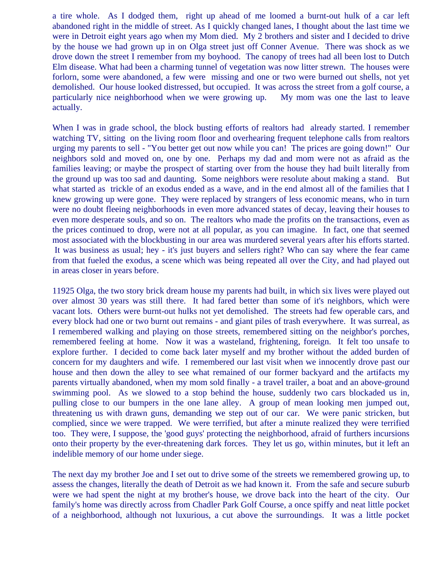a tire whole. As I dodged them, right up ahead of me loomed a burnt-out hulk of a car left abandoned right in the middle of street. As I quickly changed lanes, I thought about the last time we were in Detroit eight years ago when my Mom died. My 2 brothers and sister and I decided to drive by the house we had grown up in on Olga street just off Conner Avenue. There was shock as we drove down the street I remember from my boyhood. The canopy of trees had all been lost to Dutch Elm disease. What had been a charming tunnel of vegetation was now litter strewn. The houses were forlorn, some were abandoned, a few were missing and one or two were burned out shells, not yet demolished. Our house looked distressed, but occupied. It was across the street from a golf course, a particularly nice neighborhood when we were growing up. My mom was one the last to leave actually.

When I was in grade school, the block busting efforts of realtors had already started. I remember watching TV, sitting on the living room floor and overhearing frequent telephone calls from realtors urging my parents to sell - "You better get out now while you can! The prices are going down!" Our neighbors sold and moved on, one by one. Perhaps my dad and mom were not as afraid as the families leaving; or maybe the prospect of starting over from the house they had built literally from the ground up was too sad and daunting. Some neighbors were resolute about making a stand. But what started as trickle of an exodus ended as a wave, and in the end almost all of the families that I knew growing up were gone. They were replaced by strangers of less economic means, who in turn were no doubt fleeing neighborhoods in even more advanced states of decay, leaving their houses to even more desperate souls, and so on. The realtors who made the profits on the transactions, even as the prices continued to drop, were not at all popular, as you can imagine. In fact, one that seemed most associated with the blockbusting in our area was murdered several years after his efforts started. It was business as usual; hey - it's just buyers and sellers right? Who can say where the fear came from that fueled the exodus, a scene which was being repeated all over the City, and had played out in areas closer in years before.

11925 Olga, the two story brick dream house my parents had built, in which six lives were played out over almost 30 years was still there. It had fared better than some of it's neighbors, which were vacant lots. Others were burnt-out hulks not yet demolished. The streets had few operable cars, and every block had one or two burnt out remains - and giant piles of trash everywhere. It was surreal, as I remembered walking and playing on those streets, remembered sitting on the neighbor's porches, remembered feeling at home. Now it was a wasteland, frightening, foreign. It felt too unsafe to explore further. I decided to come back later myself and my brother without the added burden of concern for my daughters and wife. I remembered our last visit when we innocently drove past our house and then down the alley to see what remained of our former backyard and the artifacts my parents virtually abandoned, when my mom sold finally - a travel trailer, a boat and an above-ground swimming pool. As we slowed to a stop behind the house, suddenly two cars blockaded us in, pulling close to our bumpers in the one lane alley. A group of mean looking men jumped out, threatening us with drawn guns, demanding we step out of our car. We were panic stricken, but complied, since we were trapped. We were terrified, but after a minute realized they were terrified too. They were, I suppose, the 'good guys' protecting the neighborhood, afraid of furthers incursions onto their property by the ever-threatening dark forces. They let us go, within minutes, but it left an indelible memory of our home under siege.

The next day my brother Joe and I set out to drive some of the streets we remembered growing up, to assess the changes, literally the death of Detroit as we had known it. From the safe and secure suburb were we had spent the night at my brother's house, we drove back into the heart of the city. Our family's home was directly across from Chadler Park Golf Course, a once spiffy and neat little pocket of a neighborhood, although not luxurious, a cut above the surroundings. It was a little pocket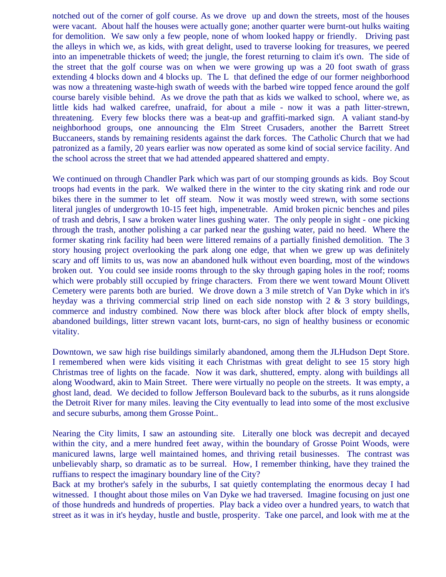notched out of the corner of golf course. As we drove up and down the streets, most of the houses were vacant. About half the houses were actually gone; another quarter were burnt-out hulks waiting for demolition. We saw only a few people, none of whom looked happy or friendly. Driving past the alleys in which we, as kids, with great delight, used to traverse looking for treasures, we peered into an impenetrable thickets of weed; the jungle, the forest returning to claim it's own. The side of the street that the golf course was on when we were growing up was a 20 foot swath of grass extending 4 blocks down and 4 blocks up. The L that defined the edge of our former neighborhood was now a threatening waste-high swath of weeds with the barbed wire topped fence around the golf course barely visible behind. As we drove the path that as kids we walked to school, where we, as little kids had walked carefree, unafraid, for about a mile - now it was a path litter-strewn, threatening. Every few blocks there was a beat-up and graffiti-marked sign. A valiant stand-by neighborhood groups, one announcing the Elm Street Crusaders, another the Barrett Street Buccaneers, stands by remaining residents against the dark forces. The Catholic Church that we had patronized as a family, 20 years earlier was now operated as some kind of social service facility. And the school across the street that we had attended appeared shattered and empty.

We continued on through Chandler Park which was part of our stomping grounds as kids. Boy Scout troops had events in the park. We walked there in the winter to the city skating rink and rode our bikes there in the summer to let off steam. Now it was mostly weed strewn, with some sections literal jungles of undergrowth 10-15 feet high, impenetrable. Amid broken picnic benches and piles of trash and debris, I saw a broken water lines gushing water. The only people in sight - one picking through the trash, another polishing a car parked near the gushing water, paid no heed. Where the former skating rink facility had been were littered remains of a partially finished demolition. The 3 story housing project overlooking the park along one edge, that when we grew up was definitely scary and off limits to us, was now an abandoned hulk without even boarding, most of the windows broken out. You could see inside rooms through to the sky through gaping holes in the roof; rooms which were probably still occupied by fringe characters. From there we went toward Mount Olivett Cemetery were parents both are buried. We drove down a 3 mile stretch of Van Dyke which in it's heyday was a thriving commercial strip lined on each side nonstop with  $2 \& 3$  story buildings, commerce and industry combined. Now there was block after block after block of empty shells, abandoned buildings, litter strewn vacant lots, burnt-cars, no sign of healthy business or economic vitality.

Downtown, we saw high rise buildings similarly abandoned, among them the JLHudson Dept Store. I remembered when were kids visiting it each Christmas with great delight to see 15 story high Christmas tree of lights on the facade. Now it was dark, shuttered, empty. along with buildings all along Woodward, akin to Main Street. There were virtually no people on the streets. It was empty, a ghost land, dead. We decided to follow Jefferson Boulevard back to the suburbs, as it runs alongside the Detroit River for many miles. leaving the City eventually to lead into some of the most exclusive and secure suburbs, among them Grosse Point..

Nearing the City limits, I saw an astounding site. Literally one block was decrepit and decayed within the city, and a mere hundred feet away, within the boundary of Grosse Point Woods, were manicured lawns, large well maintained homes, and thriving retail businesses. The contrast was unbelievably sharp, so dramatic as to be surreal. How, I remember thinking, have they trained the ruffians to respect the imaginary boundary line of the City?

Back at my brother's safely in the suburbs, I sat quietly contemplating the enormous decay I had witnessed. I thought about those miles on Van Dyke we had traversed. Imagine focusing on just one of those hundreds and hundreds of properties. Play back a video over a hundred years, to watch that street as it was in it's heyday, hustle and bustle, prosperity. Take one parcel, and look with me at the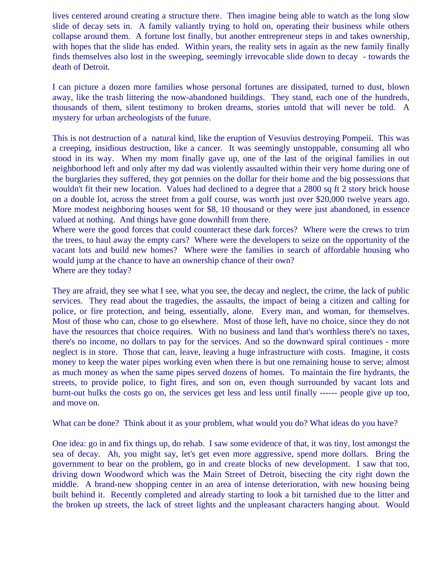lives centered around creating a structure there. Then imagine being able to watch as the long slow slide of decay sets in. A family valiantly trying to hold on, operating their business while others collapse around them. A fortune lost finally, but another entrepreneur steps in and takes ownership, with hopes that the slide has ended. Within years, the reality sets in again as the new family finally finds themselves also lost in the sweeping, seemingly irrevocable slide down to decay - towards the death of Detroit.

I can picture a dozen more families whose personal fortunes are dissipated, turned to dust, blown away, like the trash littering the now-abandoned buildings. They stand, each one of the hundreds, thousands of them, silent testimony to broken dreams, stories untold that will never be told. A mystery for urban archeologists of the future.

This is not destruction of a natural kind, like the eruption of Vesuvius destroying Pompeii. This was a creeping, insidious destruction, like a cancer. It was seemingly unstoppable, consuming all who stood in its way. When my mom finally gave up, one of the last of the original families in out neighborhood left and only after my dad was violently assaulted within their very home during one of the burglaries they suffered, they got pennies on the dollar for their home and the big possessions that wouldn't fit their new location. Values had declined to a degree that a 2800 sq ft 2 story brick house on a double lot, across the street from a golf course, was worth just over \$20,000 twelve years ago. More modest neighboring houses went for \$8, 10 thousand or they were just abandoned, in essence valued at nothing. And things have gone downhill from there.

Where were the good forces that could counteract these dark forces? Where were the crews to trim the trees, to haul away the empty cars? Where were the developers to seize on the opportunity of the vacant lots and build new homes? Where were the families in search of affordable housing who would jump at the chance to have an ownership chance of their own? Where are they today?

They are afraid, they see what I see, what you see, the decay and neglect, the crime, the lack of public services. They read about the tragedies, the assaults, the impact of being a citizen and calling for police, or fire protection, and being, essentially, alone. Every man, and woman, for themselves. Most of those who can, chose to go elsewhere. Most of those left, have no choice, since they do not have the resources that choice requires. With no business and land that's worthless there's no taxes, there's no income, no dollars to pay for the services. And so the downward spiral continues - more neglect is in store. Those that can, leave, leaving a huge infrastructure with costs. Imagine, it costs money to keep the water pipes working even when there is but one remaining house to serve; almost as much money as when the same pipes served dozens of homes. To maintain the fire hydrants, the streets, to provide police, to fight fires, and son on, even though surrounded by vacant lots and burnt-out hulks the costs go on, the services get less and less until finally ------ people give up too, and move on.

What can be done? Think about it as your problem, what would you do? What ideas do you have?

One idea: go in and fix things up, do rehab. I saw some evidence of that, it was tiny, lost amongst the sea of decay. Ah, you might say, let's get even more aggressive, spend more dollars. Bring the government to bear on the problem, go in and create blocks of new development. I saw that too, driving down Woodword which was the Main Street of Detroit, bisecting the city right down the middle. A brand-new shopping center in an area of intense deterioration, with new housing being built behind it. Recently completed and already starting to look a bit tarnished due to the litter and the broken up streets, the lack of street lights and the unpleasant characters hanging about. Would